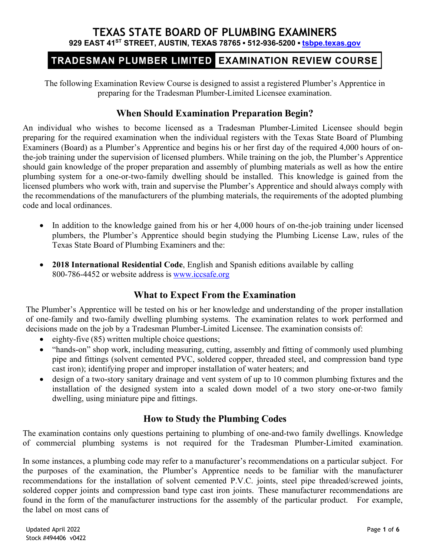## **TEXAS STATE BOARD OF PLUMBING EXAMINERS 929 EAST 41ST STREET, AUSTIN, TEXAS 78765 ▪ 512-936-5200 ▪ [tsbpe.texas.gov](http://www.tsbpe.texas.gov/)**

# TRADESMAN PLUMBER LIMITED EXAMINATION REVIEW COURSE

The following Examination Review Course is designed to assist a registered Plumber's Apprentice in preparing for the Tradesman Plumber-Limited Licensee examination.

## **When Should Examination Preparation Begin?**

An individual who wishes to become licensed as a Tradesman Plumber-Limited Licensee should begin preparing for the required examination when the individual registers with the Texas State Board of Plumbing Examiners (Board) as a Plumber's Apprentice and begins his or her first day of the required 4,000 hours of onthe-job training under the supervision of licensed plumbers. While training on the job, the Plumber's Apprentice should gain knowledge of the proper preparation and assembly of plumbing materials as well as how the entire plumbing system for a one-or-two-family dwelling should be installed. This knowledge is gained from the licensed plumbers who work with, train and supervise the Plumber's Apprentice and should always comply with the recommendations of the manufacturers of the plumbing materials, the requirements of the adopted plumbing code and local ordinances.

- In addition to the knowledge gained from his or her 4,000 hours of on-the-job training under licensed plumbers, the Plumber's Apprentice should begin studying the Plumbing License Law, rules of the Texas State Board of Plumbing Examiners and the:
- **2018 International Residential Code**, English and Spanish editions available by calling 800-786-4452 or website address is [www.iccsafe.org](http://www.iccsafe.org/)

# **What to Expect From the Examination**

The Plumber's Apprentice will be tested on his or her knowledge and understanding of the proper installation of one-family and two-family dwelling plumbing systems. The examination relates to work performed and decisions made on the job by a Tradesman Plumber-Limited Licensee. The examination consists of:

- eighty-five (85) written multiple choice questions;
- "hands-on" shop work, including measuring, cutting, assembly and fitting of commonly used plumbing pipe and fittings (solvent cemented PVC, soldered copper, threaded steel, and compression band type cast iron); identifying proper and improper installation of water heaters; and
- design of a two-story sanitary drainage and vent system of up to 10 common plumbing fixtures and the installation of the designed system into a scaled down model of a two story one-or-two family dwelling, using miniature pipe and fittings.

## **How to Study the Plumbing Codes**

The examination contains only questions pertaining to plumbing of one-and-two family dwellings. Knowledge of commercial plumbing systems is not required for the Tradesman Plumber-Limited examination.

In some instances, a plumbing code may refer to a manufacturer's recommendations on a particular subject. For the purposes of the examination, the Plumber's Apprentice needs to be familiar with the manufacturer recommendations for the installation of solvent cemented P.V.C. joints, steel pipe threaded/screwed joints, soldered copper joints and compression band type cast iron joints. These manufacturer recommendations are found in the form of the manufacturer instructions for the assembly of the particular product. For example, the label on most cans of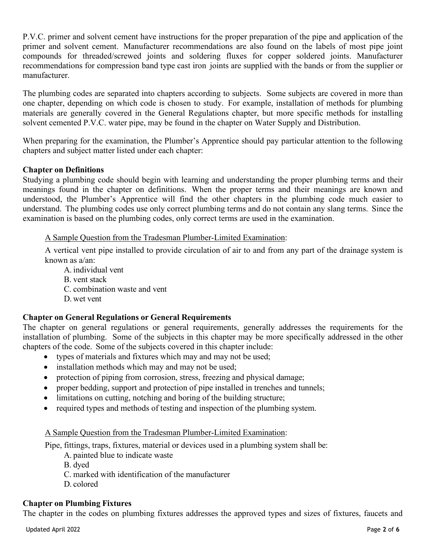P.V.C. primer and solvent cement have instructions for the proper preparation of the pipe and application of the primer and solvent cement. Manufacturer recommendations are also found on the labels of most pipe joint compounds for threaded/screwed joints and soldering fluxes for copper soldered joints. Manufacturer recommendations for compression band type cast iron joints are supplied with the bands or from the supplier or manufacturer.

The plumbing codes are separated into chapters according to subjects. Some subjects are covered in more than one chapter, depending on which code is chosen to study. For example, installation of methods for plumbing materials are generally covered in the General Regulations chapter, but more specific methods for installing solvent cemented P.V.C. water pipe, may be found in the chapter on Water Supply and Distribution.

When preparing for the examination, the Plumber's Apprentice should pay particular attention to the following chapters and subject matter listed under each chapter:

### **Chapter on Definitions**

Studying a plumbing code should begin with learning and understanding the proper plumbing terms and their meanings found in the chapter on definitions. When the proper terms and their meanings are known and understood, the Plumber's Apprentice will find the other chapters in the plumbing code much easier to understand. The plumbing codes use only correct plumbing terms and do not contain any slang terms. Since the examination is based on the plumbing codes, only correct terms are used in the examination.

#### A Sample Question from the Tradesman Plumber-Limited Examination:

A vertical vent pipe installed to provide circulation of air to and from any part of the drainage system is known as a/an:

- A. individual vent B. vent stack
- C. combination waste and vent
- D. wet vent

### **Chapter on General Regulations or General Requirements**

The chapter on general regulations or general requirements, generally addresses the requirements for the installation of plumbing. Some of the subjects in this chapter may be more specifically addressed in the other chapters of the code. Some of the subjects covered in this chapter include:

- types of materials and fixtures which may and may not be used;
- installation methods which may and may not be used;
- protection of piping from corrosion, stress, freezing and physical damage;
- proper bedding, support and protection of pipe installed in trenches and tunnels;
- limitations on cutting, notching and boring of the building structure;
- required types and methods of testing and inspection of the plumbing system.

### A Sample Question from the Tradesman Plumber-Limited Examination:

Pipe, fittings, traps, fixtures, material or devices used in a plumbing system shall be:

- A. painted blue to indicate waste
- B. dyed
- C. marked with identification of the manufacturer
- D. colored

## **Chapter on Plumbing Fixtures**

The chapter in the codes on plumbing fixtures addresses the approved types and sizes of fixtures, faucets and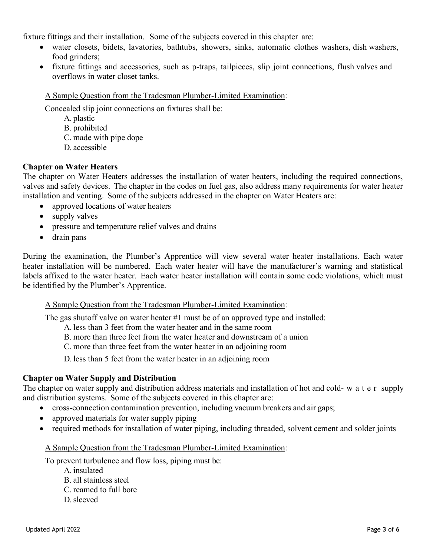fixture fittings and their installation. Some of the subjects covered in this chapter are:

- water closets, bidets, lavatories, bathtubs, showers, sinks, automatic clothes washers, dish washers, food grinders;
- fixture fittings and accessories, such as p-traps, tailpieces, slip joint connections, flush valves and overflows in water closet tanks.

#### A Sample Question from the Tradesman Plumber-Limited Examination:

Concealed slip joint connections on fixtures shall be:

- A. plastic
- B. prohibited
- C. made with pipe dope
- D. accessible

#### **Chapter on Water Heaters**

The chapter on Water Heaters addresses the installation of water heaters, including the required connections, valves and safety devices. The chapter in the codes on fuel gas, also address many requirements for water heater installation and venting. Some of the subjects addressed in the chapter on Water Heaters are:

- approved locations of water heaters
- supply valves
- pressure and temperature relief valves and drains
- drain pans

During the examination, the Plumber's Apprentice will view several water heater installations. Each water heater installation will be numbered. Each water heater will have the manufacturer's warning and statistical labels affixed to the water heater. Each water heater installation will contain some code violations, which must be identified by the Plumber's Apprentice.

#### A Sample Question from the Tradesman Plumber-Limited Examination:

The gas shutoff valve on water heater  $#1$  must be of an approved type and installed:

- A. less than 3 feet from the water heater and in the same room
- B. more than three feet from the water heater and downstream of a union
- C. more than three feet from the water heater in an adjoining room
- D. less than 5 feet from the water heater in an adjoining room

### **Chapter on Water Supply and Distribution**

The chapter on water supply and distribution address materials and installation of hot and cold- water supply and distribution systems. Some of the subjects covered in this chapter are:

- cross-connection contamination prevention, including vacuum breakers and air gaps;
- approved materials for water supply piping
- required methods for installation of water piping, including threaded, solvent cement and solder joints

#### A Sample Question from the Tradesman Plumber-Limited Examination:

To prevent turbulence and flow loss, piping must be:

- A. insulated
- B. all stainless steel
- C. reamed to full bore
- D.sleeved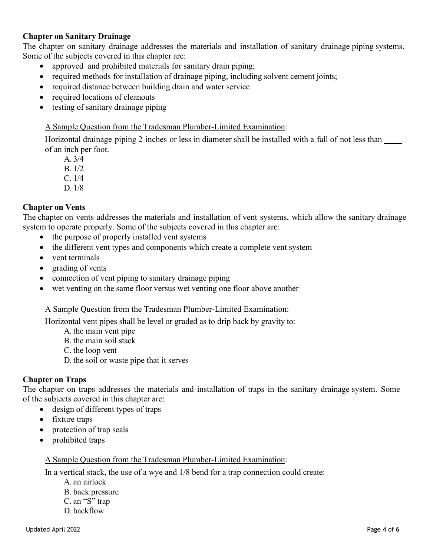### **Chapter on Sanitary Drainage**

The chapter on sanitary drainage addresses the materials and installation of sanitary drainage piping systems. Some of the subjects covered in this chapter are:

- approved and prohibited materials for sanitary drain piping;
- required methods for installation of drainage piping, including solvent cement joints;
- required distance between building drain and water service
- required locations of cleanouts
- testing of sanitary drainage piping

#### A Sample Question from the Tradesman Plumber-Limited Examination:

Horizontal drainage piping 2 inches or less in diameter shall be installed with a fall of not less than of an inch per foot.

A. 3/4

B. 1/2

- C. 1/4
- D. 1/8

### **Chapter on Vents**

The chapter on vents addresses the materials and installation of vent systems, which allow the sanitary drainage system to operate properly. Some of the subjects covered in this chapter are:

- the purpose of properly installed vent systems
- the different vent types and components which create a complete vent system
- vent terminals
- grading of vents
- connection of vent piping to sanitary drainage piping
- wet venting on the same floor versus wet venting one floor above another

### A Sample Question from the Tradesman Plumber-Limited Examination:

Horizontal vent pipes shall be level or graded as to drip back by gravity to:

- A. the main vent pipe
- B. the main soil stack
- C. the loop vent
- D. the soil or waste pipe that it serves

### **Chapter on Traps**

The chapter on traps addresses the materials and installation of traps in the sanitary drainage system. Some of the subjects covered in this chapter are:

- design of different types of traps
- fixture traps
- protection of trap seals
- prohibited traps

### A Sample Question from the Tradesman Plumber-Limited Examination:

In a vertical stack, the use of a wye and 1/8 bend for a trap connection could create:

- A. an airlock
- B. back pressure
- C. an "S" trap
- D. backflow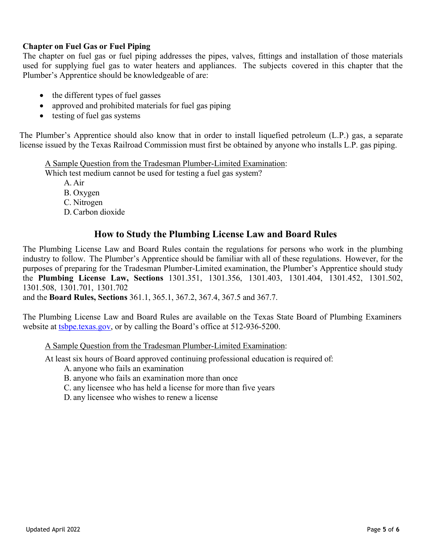### **Chapter on Fuel Gas or Fuel Piping**

The chapter on fuel gas or fuel piping addresses the pipes, valves, fittings and installation of those materials used for supplying fuel gas to water heaters and appliances. The subjects covered in this chapter that the Plumber's Apprentice should be knowledgeable of are:

- the different types of fuel gasses
- approved and prohibited materials for fuel gas piping
- testing of fuel gas systems

The Plumber's Apprentice should also know that in order to install liquefied petroleum (L.P.) gas, a separate license issued by the Texas Railroad Commission must first be obtained by anyone who installs L.P. gas piping.

A Sample Question from the Tradesman Plumber-Limited Examination:

Which test medium cannot be used for testing a fuel gas system?

- A. Air
- B. Oxygen
- C. Nitrogen
- D. Carbon dioxide

# **How to Study the Plumbing License Law and Board Rules**

The Plumbing License Law and Board Rules contain the regulations for persons who work in the plumbing industry to follow. The Plumber's Apprentice should be familiar with all of these regulations. However, for the purposes of preparing for the Tradesman Plumber-Limited examination, the Plumber's Apprentice should study the **Plumbing License Law, Sections** 1301.351, 1301.356, 1301.403, 1301.404, 1301.452, 1301.502, 1301.508, 1301.701, 1301.702

and the **Board Rules, Sections** 361.1, 365.1, 367.2, 367.4, 367.5 and 367.7.

The Plumbing License Law and Board Rules are available on the Texas State Board of Plumbing Examiners website at [tsbpe.texas.gov,](https://tsbpe.texas.gov/) or by calling the Board's office at 512-936-5200.

A Sample Question from the Tradesman Plumber-Limited Examination:

At least six hours of Board approved continuing professional education is required of:

- A. anyone who fails an examination
- B. anyone who fails an examination more than once
- C. any licensee who has held a license for more than five years
- D. any licensee who wishes to renew a license